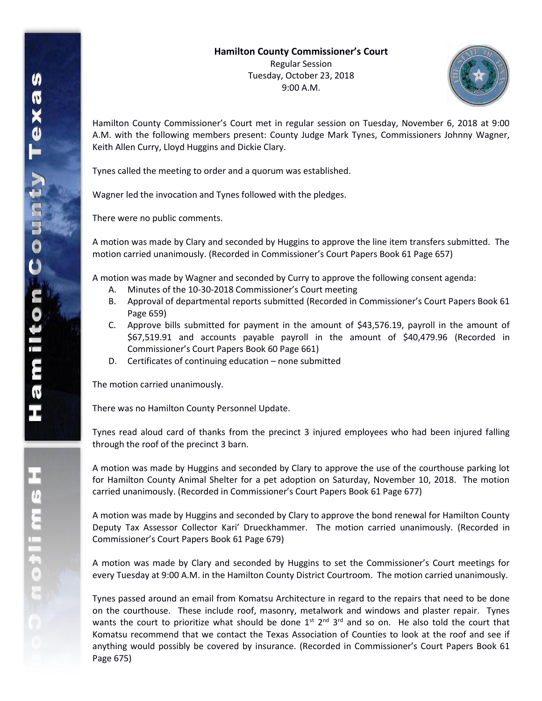

Hamilton County Commissioner's Court met in regular session on Tuesday, November 6, 2018 at 9:00 A.M. with the following members present: County Judge Mark Tynes, Commissioners Johnny Wagner, Keith Allen Curry, Lloyd Huggins and Dickie Clary.

Tynes called the meeting to order and a quorum was established.

Wagner led the invocation and Tynes followed with the pledges.

There were no public comments.

A motion was made by Clary and seconded by Huggins to approve the line item transfers submitted. The motion carried unanimously. (Recorded in Commissioner's Court Papers Book 61 Page 657)

A motion was made by Wagner and seconded by Curry to approve the following consent agenda:

- A. Minutes of the 10-30-2018 Commissioner's Court meeting
- B. Approval of departmental reports submitted (Recorded in Commissioner's Court Papers Book 61 Page 659)
- C. Approve bills submitted for payment in the amount of \$43,576.19, payroll in the amount of \$67,519.91 and accounts payable payroll in the amount of \$40,479.96 (Recorded in Commissioner's Court Papers Book 60 Page 661)
- D. Certificates of continuing education none submitted

The motion carried unanimously.

There was no Hamilton County Personnel Update.

Tynes read aloud card of thanks from the precinct 3 injured employees who had been injured falling through the roof of the precinct 3 barn.

A motion was made by Huggins and seconded by Clary to approve the use of the courthouse parking lot for Hamilton County Animal Shelter for a pet adoption on Saturday, November 10, 2018. The motion carried unanimously. (Recorded in Commissioner's Court Papers Book 61 Page 677)

A motion was made by Huggins and seconded by Clary to approve the bond renewal for Hamilton County Deputy Tax Assessor Collector Kari' Drueckhammer. The motion carried unanimously. (Recorded in Commissioner's Court Papers Book 61 Page 679)

A motion was made by Clary and seconded by Huggins to set the Commissioner's Court meetings for every Tuesday at 9:00 A.M. in the Hamilton County District Courtroom. The motion carried unanimously.

Tynes passed around an email from Komatsu Architecture in regard to the repairs that need to be done on the courthouse. These include roof, masonry, metalwork and windows and plaster repair. Tynes wants the court to prioritize what should be done  $1^{st}$   $2^{nd}$   $3^{rd}$  and so on. He also told the court that Komatsu recommend that we contact the Texas Association of Counties to look at the roof and see if anything would possibly be covered by insurance. (Recorded in Commissioner's Court Papers Book 61 Page 675)

エムミニャウこ